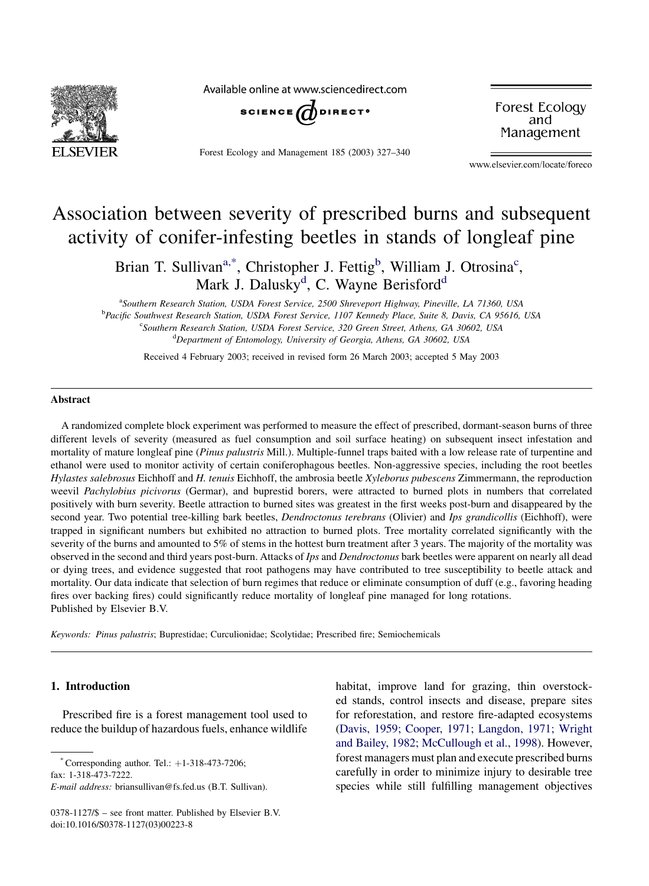

Available online at www.sciencedirect.com



Forest Ecology and Management 185 (2003) 327–340

Forest Ecology and Management

www.elsevier.com/locate/foreco

# Association between severity of prescribed burns and subsequent activity of conifer-infesting beetles in stands of longleaf pine

Brian T. Sullivan<sup>a,\*</sup>, Christopher J. Fettig<sup>b</sup>, William J. Otrosina<sup>c</sup>, Mark J. Dalusky<sup>d</sup>, C. Wayne Berisford<sup>d</sup>

<sup>a</sup>Southern Research Station, USDA Forest Service, 2500 Shreveport Highway, Pineville, LA 71360, USA **bPacific Southwest Research Station, USDA Forest Service, 1107 Kennedy Place, Suite 8, Davis, CA 95616, USA** <sup>c</sup>Southern Research Station, USDA Forest Service, 320 Green Street, Athens, GA 30602, USA <sup>d</sup>Department of Entomology, University of Georgia, Athens, GA 30602, USA

Received 4 February 2003; received in revised form 26 March 2003; accepted 5 May 2003

#### Abstract

A randomized complete block experiment was performed to measure the effect of prescribed, dormant-season burns of three different levels of severity (measured as fuel consumption and soil surface heating) on subsequent insect infestation and mortality of mature longleaf pine (Pinus palustris Mill.). Multiple-funnel traps baited with a low release rate of turpentine and ethanol were used to monitor activity of certain coniferophagous beetles. Non-aggressive species, including the root beetles Hylastes salebrosus Eichhoff and H. tenuis Eichhoff, the ambrosia beetle Xyleborus pubescens Zimmermann, the reproduction weevil Pachylobius picivorus (Germar), and buprestid borers, were attracted to burned plots in numbers that correlated positively with burn severity. Beetle attraction to burned sites was greatest in the first weeks post-burn and disappeared by the second year. Two potential tree-killing bark beetles, *Dendroctonus terebrans* (Olivier) and Ips grandicollis (Eichhoff), were trapped in significant numbers but exhibited no attraction to burned plots. Tree mortality correlated significantly with the severity of the burns and amounted to 5% of stems in the hottest burn treatment after 3 years. The majority of the mortality was observed in the second and third years post-burn. Attacks of Ips and Dendroctonus bark beetles were apparent on nearly all dead or dying trees, and evidence suggested that root pathogens may have contributed to tree susceptibility to beetle attack and mortality. Our data indicate that selection of burn regimes that reduce or eliminate consumption of duff (e.g., favoring heading fires over backing fires) could significantly reduce mortality of longleaf pine managed for long rotations. Published by Elsevier B.V.

Keywords: Pinus palustris; Buprestidae; Curculionidae; Scolytidae; Prescribed fire; Semiochemicals

#### 1. Introduction

Prescribed fire is a forest management tool used to reduce the buildup of hazardous fuels, enhance wildlife

Corresponding author. Tel.:  $+1-318-473-7206$ ; fax: 1-318-473-7222.

habitat, improve land for grazing, thin overstocked stands, control insects and disease, prepare sites for reforestation, and restore fire-adapted ecosystems ([Davis, 1959; Cooper, 1971; Langdon, 1971; Wright](#page-12-0) [and Bailey, 1982; McCullough et al., 1998\)](#page-12-0). However, forest managers must plan and execute prescribed burns carefully in order to minimize injury to desirable tree species while still fulfilling management objectives

E-mail address: briansullivan@fs.fed.us (B.T. Sullivan).

<sup>0378-1127/\$ –</sup> see front matter. Published by Elsevier B.V. doi:10.1016/S0378-1127(03)00223-8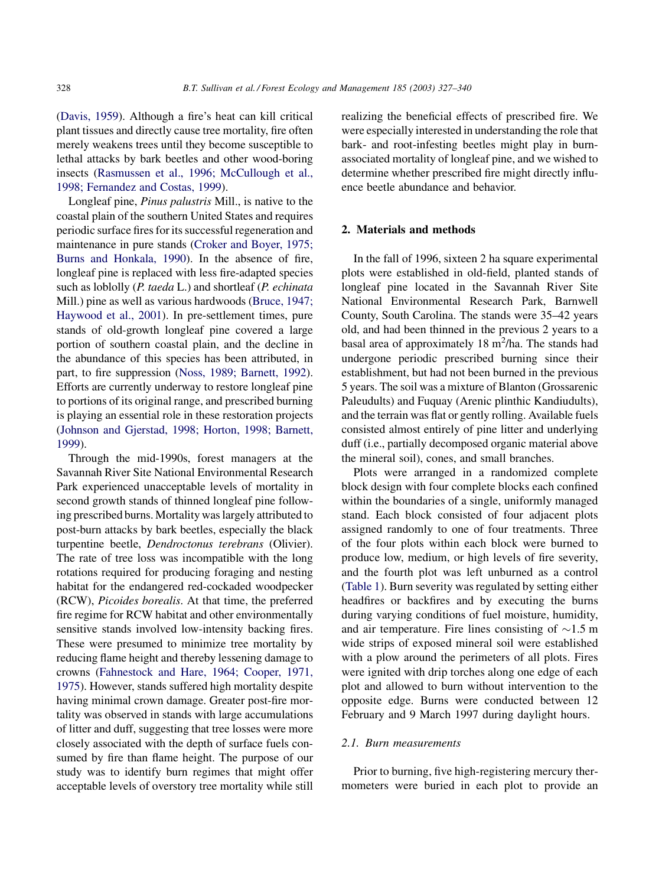([Davis, 1959](#page-12-0)). Although a fire's heat can kill critical plant tissues and directly cause tree mortality, fire often merely weakens trees until they become susceptible to lethal attacks by bark beetles and other wood-boring insects ([Rasmussen et al., 1996; McCullough et al.,](#page-13-0) [1998; Fernandez and Costas, 1999\)](#page-13-0).

Longleaf pine, Pinus palustris Mill., is native to the coastal plain of the southern United States and requires periodic surface fires for its successful regeneration and maintenance in pure stands ([Croker and Boyer, 1975;](#page-12-0) [Burns and Honkala, 1990](#page-12-0)). In the absence of fire, longleaf pine is replaced with less fire-adapted species such as loblolly (P. taeda L.) and shortleaf (P. echinata Mill.) pine as well as various hardwoods ([Bruce, 1947;](#page-11-0) [Haywood et al., 2001\)](#page-11-0). In pre-settlement times, pure stands of old-growth longleaf pine covered a large portion of southern coastal plain, and the decline in the abundance of this species has been attributed, in part, to fire suppression [\(Noss, 1989; Barnett, 1992\)](#page-13-0). Efforts are currently underway to restore longleaf pine to portions of its original range, and prescribed burning is playing an essential role in these restoration projects ([Johnson and Gjerstad, 1998; Horton, 1998; Barnett,](#page-12-0) [1999](#page-12-0)).

Through the mid-1990s, forest managers at the Savannah River Site National Environmental Research Park experienced unacceptable levels of mortality in second growth stands of thinned longleaf pine following prescribed burns. Mortality was largely attributed to post-burn attacks by bark beetles, especially the black turpentine beetle, Dendroctonus terebrans (Olivier). The rate of tree loss was incompatible with the long rotations required for producing foraging and nesting habitat for the endangered red-cockaded woodpecker (RCW), Picoides borealis. At that time, the preferred fire regime for RCW habitat and other environmentally sensitive stands involved low-intensity backing fires. These were presumed to minimize tree mortality by reducing flame height and thereby lessening damage to crowns [\(Fahnestock and Hare, 1964; Cooper, 1971,](#page-12-0) [1975](#page-12-0)). However, stands suffered high mortality despite having minimal crown damage. Greater post-fire mortality was observed in stands with large accumulations of litter and duff, suggesting that tree losses were more closely associated with the depth of surface fuels consumed by fire than flame height. The purpose of our study was to identify burn regimes that might offer acceptable levels of overstory tree mortality while still realizing the beneficial effects of prescribed fire. We were especially interested in understanding the role that bark- and root-infesting beetles might play in burnassociated mortality of longleaf pine, and we wished to determine whether prescribed fire might directly influence beetle abundance and behavior.

### 2. Materials and methods

In the fall of 1996, sixteen 2 ha square experimental plots were established in old-field, planted stands of longleaf pine located in the Savannah River Site National Environmental Research Park, Barnwell County, South Carolina. The stands were 35–42 years old, and had been thinned in the previous 2 years to a basal area of approximately 18  $\text{m}^2$ /ha. The stands had undergone periodic prescribed burning since their establishment, but had not been burned in the previous 5 years. The soil was a mixture of Blanton (Grossarenic Paleudults) and Fuquay (Arenic plinthic Kandiudults), and the terrain was flat or gently rolling. Available fuels consisted almost entirely of pine litter and underlying duff (i.e., partially decomposed organic material above the mineral soil), cones, and small branches.

Plots were arranged in a randomized complete block design with four complete blocks each confined within the boundaries of a single, uniformly managed stand. Each block consisted of four adjacent plots assigned randomly to one of four treatments. Three of the four plots within each block were burned to produce low, medium, or high levels of fire severity, and the fourth plot was left unburned as a control ([Table 1\)](#page-2-0). Burn severity was regulated by setting either headfires or backfires and by executing the burns during varying conditions of fuel moisture, humidity, and air temperature. Fire lines consisting of  $\sim$ 1.5 m wide strips of exposed mineral soil were established with a plow around the perimeters of all plots. Fires were ignited with drip torches along one edge of each plot and allowed to burn without intervention to the opposite edge. Burns were conducted between 12 February and 9 March 1997 during daylight hours.

## 2.1. Burn measurements

Prior to burning, five high-registering mercury thermometers were buried in each plot to provide an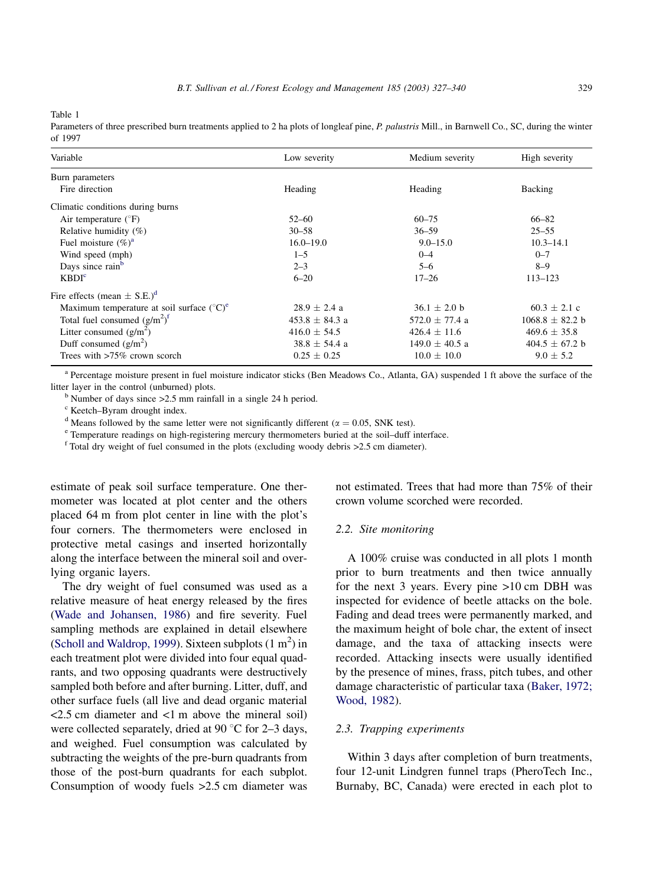<span id="page-2-0"></span>Table 1

Parameters of three prescribed burn treatments applied to 2 ha plots of longleaf pine, P. palustris Mill., in Barnwell Co., SC, during the winter of 1997

| Variable                                                | Low severity       | Medium severity    | High severity       |  |
|---------------------------------------------------------|--------------------|--------------------|---------------------|--|
| Burn parameters                                         |                    |                    |                     |  |
| Fire direction                                          | Heading            | Heading            | Backing             |  |
| Climatic conditions during burns                        |                    |                    |                     |  |
| Air temperature $(^{\circ}F)$                           | $52 - 60$          | $60 - 75$          | $66 - 82$           |  |
| Relative humidity $(\%)$                                | $30 - 58$          | $36 - 59$          | $25 - 55$           |  |
| Fuel moisture $(\%)^a$                                  | $16.0 - 19.0$      | $9.0 - 15.0$       | $10.3 - 14.1$       |  |
| Wind speed (mph)                                        | $1 - 5$            | $0 - 4$            | $0 - 7$             |  |
| Days since rain <sup>b</sup>                            | $2 - 3$            | $5 - 6$            | $8 - 9$             |  |
| KBDI <sup>c</sup>                                       | $6 - 20$           | $17 - 26$          | $113 - 123$         |  |
| Fire effects (mean $\pm$ S.E.) <sup>d</sup>             |                    |                    |                     |  |
| Maximum temperature at soil surface $({}^{\circ}C)^{e}$ | $28.9 + 2.4$ a     | $36.1 + 2.0 h$     | $60.3 + 2.1$ c      |  |
| Total fuel consumed $(g/m^2)^f$                         | $453.8 \pm 84.3$ a | $572.0 + 77.4$ a   | $1068.8 \pm 82.2 b$ |  |
| Litter consumed $(g/m^2)$                               | $416.0 \pm 54.5$   | $426.4 \pm 11.6$   | $469.6 \pm 35.8$    |  |
| Duff consumed $(g/m^2)$                                 | $38.8 \pm 54.4$ a  | $149.0 \pm 40.5$ a | $404.5 \pm 67.2$ b  |  |
| Trees with $>75\%$ crown scorch                         | $0.25 \pm 0.25$    | $10.0 \pm 10.0$    | $9.0 \pm 5.2$       |  |

<sup>a</sup> Percentage moisture present in fuel moisture indicator sticks (Ben Meadows Co., Atlanta, GA) suspended 1 ft above the surface of the litter layer in the control (unburned) plots.<br><sup>b</sup> Number of days since >2.5 mm rainfall in a single 24 h period.<br><sup>c</sup> Keetch-Byram drought index.

<sup>d</sup> Means followed by the same letter were not significantly different ( $\alpha$  = 0.05, SNK test).<br><sup>e</sup> Temperature readings on high-registering mercury thermometers buried at the soil-duff interface.<br><sup>f</sup> Total dry weight of

estimate of peak soil surface temperature. One thermometer was located at plot center and the others placed 64 m from plot center in line with the plot's four corners. The thermometers were enclosed in protective metal casings and inserted horizontally along the interface between the mineral soil and overlying organic layers.

The dry weight of fuel consumed was used as a relative measure of heat energy released by the fires ([Wade and Johansen, 1986](#page-13-0)) and fire severity. Fuel sampling methods are explained in detail elsewhere ([Scholl and Waldrop, 1999\)](#page-13-0). Sixteen subplots  $(1 \text{ m}^2)$  in each treatment plot were divided into four equal quadrants, and two opposing quadrants were destructively sampled both before and after burning. Litter, duff, and other surface fuels (all live and dead organic material <2.5 cm diameter and <1 m above the mineral soil) were collected separately, dried at 90  $\degree$ C for 2–3 days, and weighed. Fuel consumption was calculated by subtracting the weights of the pre-burn quadrants from those of the post-burn quadrants for each subplot. Consumption of woody fuels >2.5 cm diameter was not estimated. Trees that had more than 75% of their crown volume scorched were recorded.

## 2.2. Site monitoring

A 100% cruise was conducted in all plots 1 month prior to burn treatments and then twice annually for the next 3 years. Every pine >10 cm DBH was inspected for evidence of beetle attacks on the bole. Fading and dead trees were permanently marked, and the maximum height of bole char, the extent of insect damage, and the taxa of attacking insects were recorded. Attacking insects were usually identified by the presence of mines, frass, pitch tubes, and other damage characteristic of particular taxa [\(Baker, 1972;](#page-11-0) [Wood, 1982](#page-11-0)).

## 2.3. Trapping experiments

Within 3 days after completion of burn treatments, four 12-unit Lindgren funnel traps (PheroTech Inc., Burnaby, BC, Canada) were erected in each plot to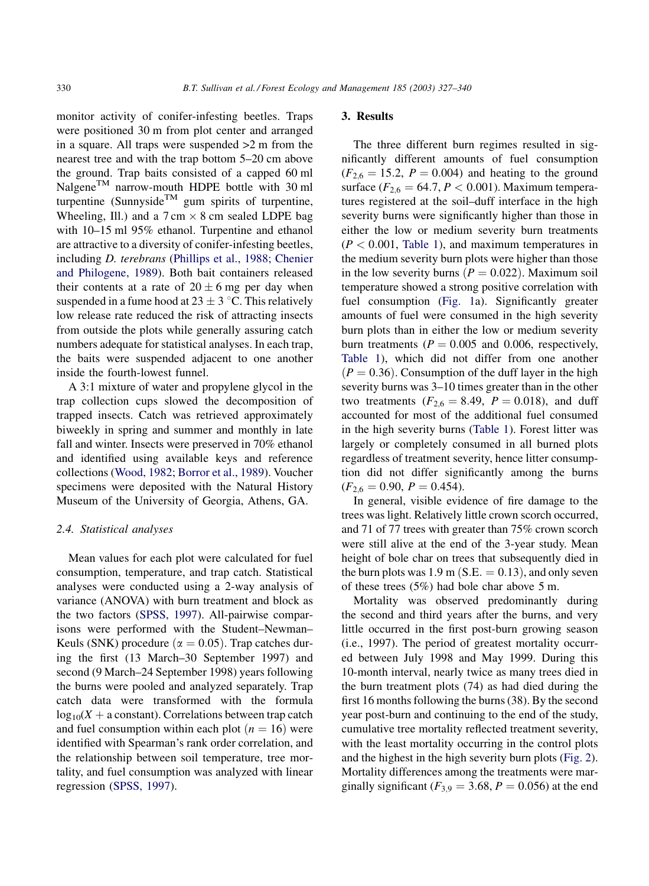monitor activity of conifer-infesting beetles. Traps were positioned 30 m from plot center and arranged in a square. All traps were suspended  $>2$  m from the nearest tree and with the trap bottom 5–20 cm above the ground. Trap baits consisted of a capped 60 ml Nalgene<sup>TM</sup> narrow-mouth HDPE bottle with 30 ml turpentine (Sunnyside<sup>TM</sup> gum spirits of turpentine, Wheeling, Ill.) and a  $7 \text{ cm} \times 8 \text{ cm}$  sealed LDPE bag with 10–15 ml 95% ethanol. Turpentine and ethanol are attractive to a diversity of conifer-infesting beetles, including D. terebrans ([Phillips et al., 1988; Chenier](#page-13-0) [and Philogene, 1989](#page-13-0)). Both bait containers released their contents at a rate of  $20 \pm 6$  mg per day when suspended in a fume hood at  $23 \pm 3$  °C. This relatively low release rate reduced the risk of attracting insects from outside the plots while generally assuring catch numbers adequate for statistical analyses. In each trap, the baits were suspended adjacent to one another inside the fourth-lowest funnel.

A 3:1 mixture of water and propylene glycol in the trap collection cups slowed the decomposition of trapped insects. Catch was retrieved approximately biweekly in spring and summer and monthly in late fall and winter. Insects were preserved in 70% ethanol and identified using available keys and reference collections [\(Wood, 1982; Borror et al., 1989\)](#page-13-0). Voucher specimens were deposited with the Natural History Museum of the University of Georgia, Athens, GA.

## 2.4. Statistical analyses

Mean values for each plot were calculated for fuel consumption, temperature, and trap catch. Statistical analyses were conducted using a 2-way analysis of variance (ANOVA) with burn treatment and block as the two factors [\(SPSS, 1997\)](#page-13-0). All-pairwise comparisons were performed with the Student–Newman– Keuls (SNK) procedure ( $\alpha = 0.05$ ). Trap catches during the first (13 March–30 September 1997) and second (9 March–24 September 1998) years following the burns were pooled and analyzed separately. Trap catch data were transformed with the formula  $log_{10}(X + a constant)$ . Correlations between trap catch and fuel consumption within each plot  $(n = 16)$  were identified with Spearman's rank order correlation, and the relationship between soil temperature, tree mortality, and fuel consumption was analyzed with linear regression [\(SPSS, 1997\)](#page-13-0).

## 3. Results

The three different burn regimes resulted in significantly different amounts of fuel consumption  $(F_{2,6} = 15.2, P = 0.004)$  and heating to the ground surface ( $F_{2,6} = 64.7, P < 0.001$ ). Maximum temperatures registered at the soil–duff interface in the high severity burns were significantly higher than those in either the low or medium severity burn treatments  $(P < 0.001$ , [Table 1](#page-2-0)), and maximum temperatures in the medium severity burn plots were higher than those in the low severity burns ( $P = 0.022$ ). Maximum soil temperature showed a strong positive correlation with fuel consumption ([Fig. 1a](#page-4-0)). Significantly greater amounts of fuel were consumed in the high severity burn plots than in either the low or medium severity burn treatments ( $P = 0.005$  and 0.006, respectively, [Table 1](#page-2-0)), which did not differ from one another  $(P = 0.36)$ . Consumption of the duff layer in the high severity burns was 3–10 times greater than in the other two treatments  $(F_{2,6} = 8.49, P = 0.018)$ , and duff accounted for most of the additional fuel consumed in the high severity burns ([Table 1](#page-2-0)). Forest litter was largely or completely consumed in all burned plots regardless of treatment severity, hence litter consumption did not differ significantly among the burns  $(F_{2,6} = 0.90, P = 0.454).$ 

In general, visible evidence of fire damage to the trees was light. Relatively little crown scorch occurred, and 71 of 77 trees with greater than 75% crown scorch were still alive at the end of the 3-year study. Mean height of bole char on trees that subsequently died in the burn plots was 1.9 m (S.E.  $= 0.13$ ), and only seven of these trees (5%) had bole char above 5 m.

Mortality was observed predominantly during the second and third years after the burns, and very little occurred in the first post-burn growing season (i.e., 1997). The period of greatest mortality occurred between July 1998 and May 1999. During this 10-month interval, nearly twice as many trees died in the burn treatment plots (74) as had died during the first 16 months following the burns (38). By the second year post-burn and continuing to the end of the study, cumulative tree mortality reflected treatment severity, with the least mortality occurring in the control plots and the highest in the high severity burn plots ([Fig. 2\)](#page-4-0). Mortality differences among the treatments were marginally significant ( $F_{3,9} = 3.68$ ,  $P = 0.056$ ) at the end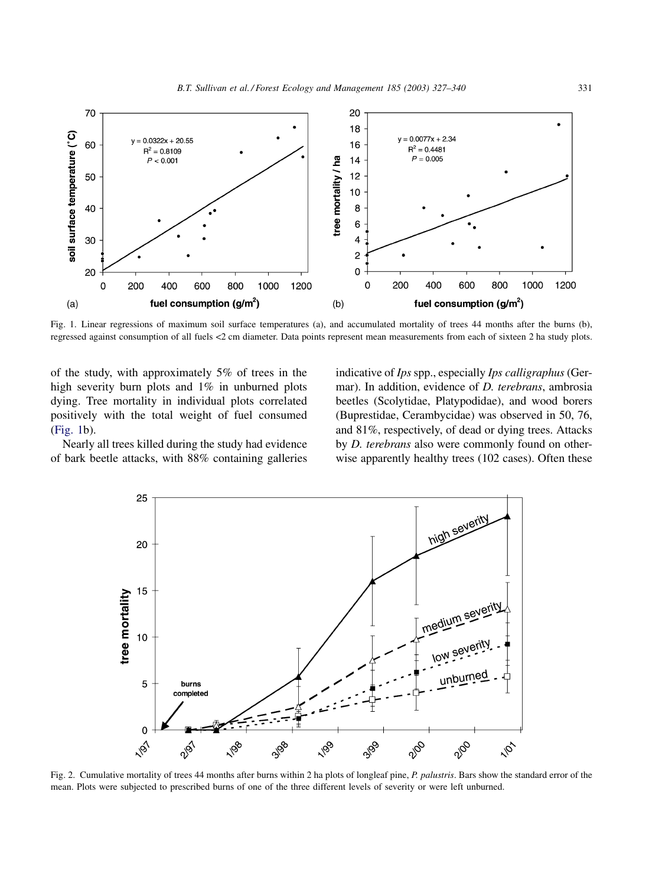<span id="page-4-0"></span>

Fig. 1. Linear regressions of maximum soil surface temperatures (a), and accumulated mortality of trees 44 months after the burns (b), regressed against consumption of all fuels <2 cm diameter. Data points represent mean measurements from each of sixteen 2 ha study plots.

of the study, with approximately 5% of trees in the high severity burn plots and 1% in unburned plots dying. Tree mortality in individual plots correlated positively with the total weight of fuel consumed (Fig. 1b).

Nearly all trees killed during the study had evidence of bark beetle attacks, with 88% containing galleries indicative of Ips spp., especially Ips calligraphus (Germar). In addition, evidence of D. terebrans, ambrosia beetles (Scolytidae, Platypodidae), and wood borers (Buprestidae, Cerambycidae) was observed in 50, 76, and 81%, respectively, of dead or dying trees. Attacks by D. terebrans also were commonly found on otherwise apparently healthy trees (102 cases). Often these



Fig. 2. Cumulative mortality of trees 44 months after burns within 2 ha plots of longleaf pine, P. palustris. Bars show the standard error of the mean. Plots were subjected to prescribed burns of one of the three different levels of severity or were left unburned.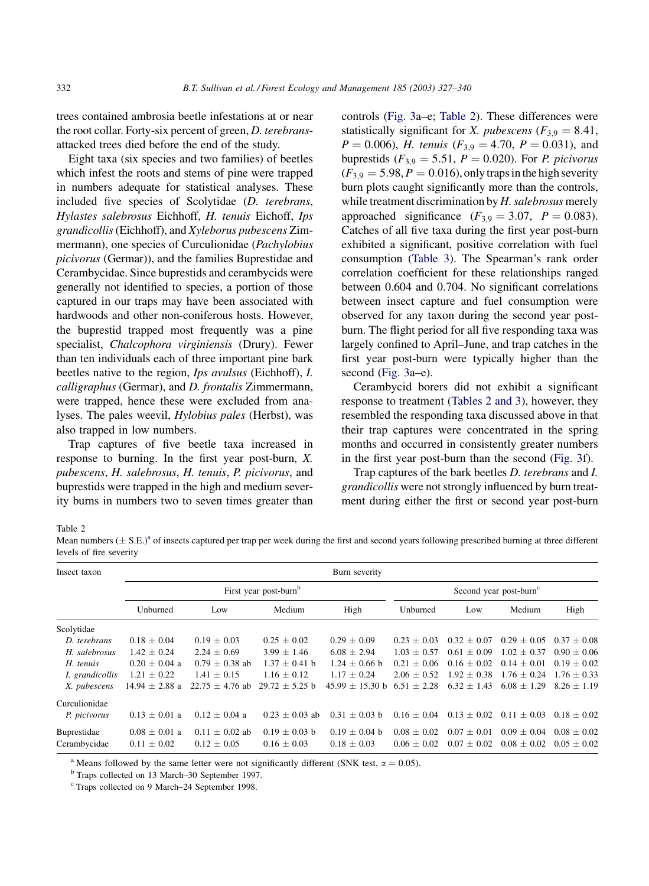<span id="page-5-0"></span>trees contained ambrosia beetle infestations at or near the root collar. Forty-six percent of green, D. terebransattacked trees died before the end of the study.

Eight taxa (six species and two families) of beetles which infest the roots and stems of pine were trapped in numbers adequate for statistical analyses. These included five species of Scolytidae (D. terebrans, Hylastes salebrosus Eichhoff, H. tenuis Eichoff, Ips grandicollis(Eichhoff), and Xyleborus pubescens Zimmermann), one species of Curculionidae (Pachylobius picivorus (Germar)), and the families Buprestidae and Cerambycidae. Since buprestids and cerambycids were generally not identified to species, a portion of those captured in our traps may have been associated with hardwoods and other non-coniferous hosts. However, the buprestid trapped most frequently was a pine specialist, Chalcophora virginiensis (Drury). Fewer than ten individuals each of three important pine bark beetles native to the region, Ips avulsus (Eichhoff), I. calligraphus (Germar), and D. frontalis Zimmermann, were trapped, hence these were excluded from analyses. The pales weevil, Hylobius pales (Herbst), was also trapped in low numbers.

Trap captures of five beetle taxa increased in response to burning. In the first year post-burn, X. pubescens, H. salebrosus, H. tenuis, P. picivorus, and buprestids were trapped in the high and medium severity burns in numbers two to seven times greater than

controls [\(Fig. 3a](#page-6-0)–e; Table 2). These differences were statistically significant for X. pubescens ( $F_{3,9} = 8.41$ ,  $P = 0.006$ , H. tenuis ( $F_{3,9} = 4.70$ ,  $P = 0.031$ ), and buprestids  $(F_{3,9} = 5.51, P = 0.020)$ . For *P. picivorus*  $(F_{3,9} = 5.98, P = 0.016)$ , only traps in the high severity burn plots caught significantly more than the controls, while treatment discrimination by H. salebrosus merely approached significance  $(F_{3,9} = 3.07, P = 0.083)$ . Catches of all five taxa during the first year post-burn exhibited a significant, positive correlation with fuel consumption ([Table 3](#page-9-0)). The Spearman's rank order correlation coefficient for these relationships ranged between 0.604 and 0.704. No significant correlations between insect capture and fuel consumption were observed for any taxon during the second year postburn. The flight period for all five responding taxa was largely confined to April–June, and trap catches in the first year post-burn were typically higher than the second [\(Fig. 3a](#page-6-0)–e).

Cerambycid borers did not exhibit a significant response to treatment (Tables 2 and 3), however, they resembled the responding taxa discussed above in that their trap captures were concentrated in the spring months and occurred in consistently greater numbers in the first year post-burn than the second ([Fig. 3f](#page-6-0)).

Trap captures of the bark beetles D. terebrans and I. grandicollis were not strongly influenced by burn treatment during either the first or second year post-burn

Table 2

Mean numbers  $(\pm S.E.)^a$  of insects captured per trap per week during the first and second years following prescribed burning at three different levels of fire severity

| Insect taxon                | Burn severity                        |                                       |                                      |                                    |                                    |                                |                                |                                |
|-----------------------------|--------------------------------------|---------------------------------------|--------------------------------------|------------------------------------|------------------------------------|--------------------------------|--------------------------------|--------------------------------|
|                             | First year post-burn <sup>b</sup>    |                                       |                                      |                                    | Second year post-burn <sup>c</sup> |                                |                                |                                |
|                             | Unburned                             | Low                                   | Medium                               | High                               | Unburned                           | Low                            | Medium                         | High                           |
| Scolytidae                  |                                      |                                       |                                      |                                    |                                    |                                |                                |                                |
| D. terebrans                | $0.18 \pm 0.04$                      | $0.19 \pm 0.03$                       | $0.25 \pm 0.02$                      | $0.29 + 0.09$                      | $0.23 + 0.03$                      | $0.32 \pm 0.07$                | $0.29 + 0.05$                  | $0.37 + 0.08$                  |
| H. salebrosus               | $1.42 + 0.24$                        | $2.24 \pm 0.69$                       | $3.99 \pm 1.46$                      | $6.08 \pm 2.94$                    | $1.03 + 0.57$                      | $0.61 + 0.09$                  | $1.02 + 0.37$                  | $0.90 + 0.06$                  |
| H. tenuis                   | $0.20 \pm 0.04$ a                    | $0.79 + 0.38$ ab                      | $1.37 + 0.41$ h                      | $1.24 + 0.66$ b                    | $0.21 + 0.06$                      | $0.16 + 0.02$                  | $0.14 + 0.01$                  | $0.19 + 0.02$                  |
| I. grandicollis             | $1.21 + 0.22$                        | $1.41 \pm 0.15$                       | $1.16 + 0.12$                        | $1.17 + 0.24$                      | $2.06 + 0.52$                      | $1.92 + 0.38$                  | $1.76 + 0.24$                  | $1.76 + 0.33$                  |
| X. pubescens                | $14.94 \pm 2.88$ a                   | $22.75 \pm 4.76$ ab                   | $29.72 \pm 5.25$ b                   | $45.99 + 15.30$ b                  | $6.51 + 2.28$                      | $6.32 + 1.43$                  | $6.08 + 1.29$                  | $8.26 + 1.19$                  |
| Curculionidae               |                                      |                                       |                                      |                                    |                                    |                                |                                |                                |
| P. picivorus                | $0.13 \pm 0.01$ a                    | $0.12 \pm 0.04$ a                     | $0.23 \pm 0.03$ ab                   | $0.31 + 0.03$ b                    | $0.16 + 0.04$                      | $0.13 + 0.02$                  | $0.11 + 0.03$                  | $0.18 \pm 0.02$                |
| Buprestidae<br>Cerambycidae | $0.08 \pm 0.01$ a<br>$0.11 \pm 0.02$ | $0.11 \pm 0.02$ ab<br>$0.12 \pm 0.05$ | $0.19 \pm 0.03$ b<br>$0.16 \pm 0.03$ | $0.19 + 0.04$ b<br>$0.18 \pm 0.03$ | $0.08 + 0.02$<br>$0.06 + 0.02$     | $0.07 + 0.01$<br>$0.07 + 0.02$ | $0.09 + 0.04$<br>$0.08 + 0.02$ | $0.08 + 0.02$<br>$0.05 + 0.02$ |

<sup>a</sup> Means followed by the same letter were not significantly different (SNK test,  $\alpha = 0.05$ ). b Traps collected on 13 March–30 September 1997.

<sup>c</sup> Traps collected on 9 March–24 September 1998.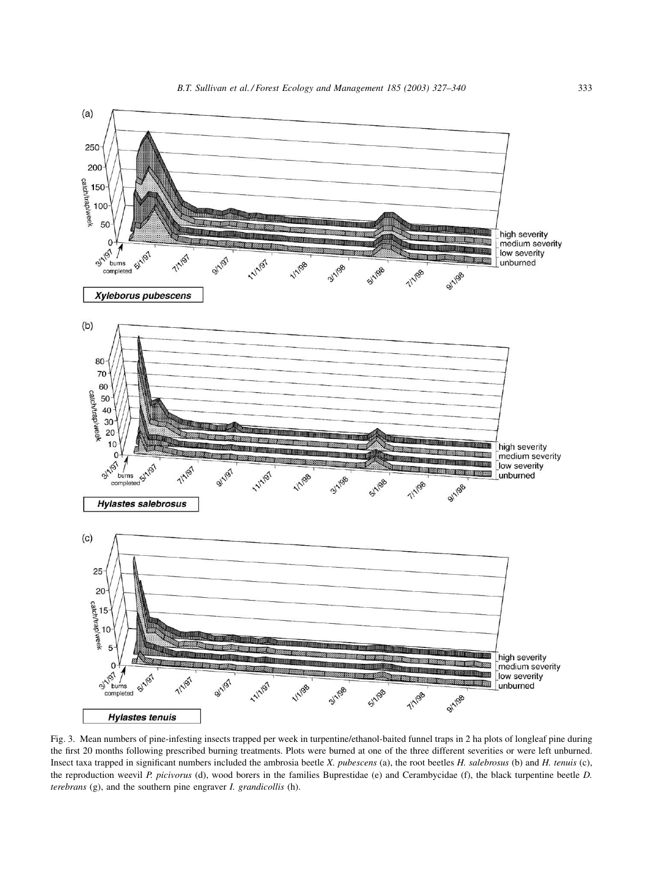<span id="page-6-0"></span>

Fig. 3. Mean numbers of pine-infesting insects trapped per week in turpentine/ethanol-baited funnel traps in 2 ha plots of longleaf pine during the first 20 months following prescribed burning treatments. Plots were burned at one of the three different severities or were left unburned. Insect taxa trapped in significant numbers included the ambrosia beetle X. pubescens (a), the root beetles H. salebrosus (b) and H. tenuis (c), the reproduction weevil P. picivorus (d), wood borers in the families Buprestidae (e) and Cerambycidae (f), the black turpentine beetle D. terebrans (g), and the southern pine engraver I. grandicollis (h).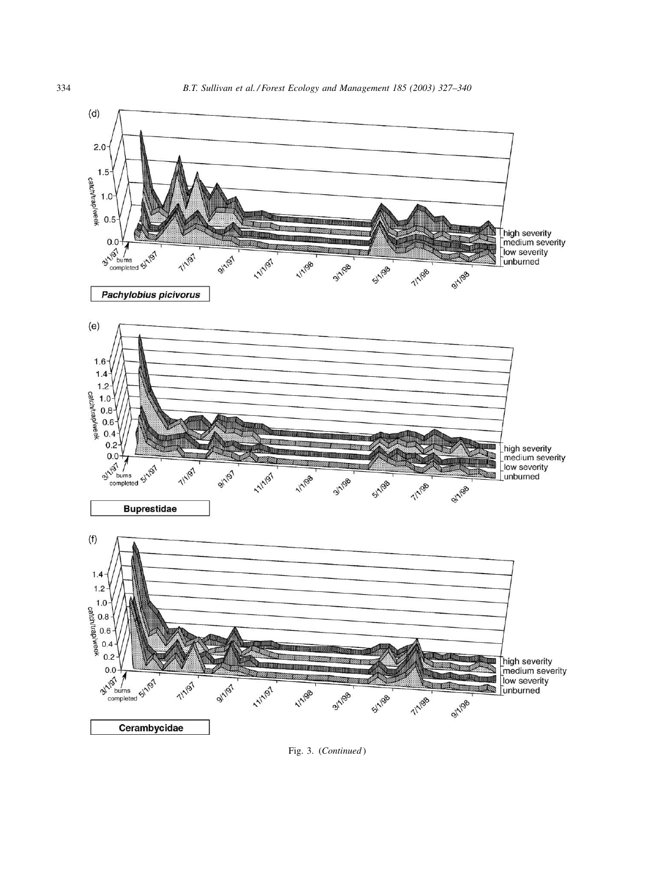

Fig. 3. (Continued )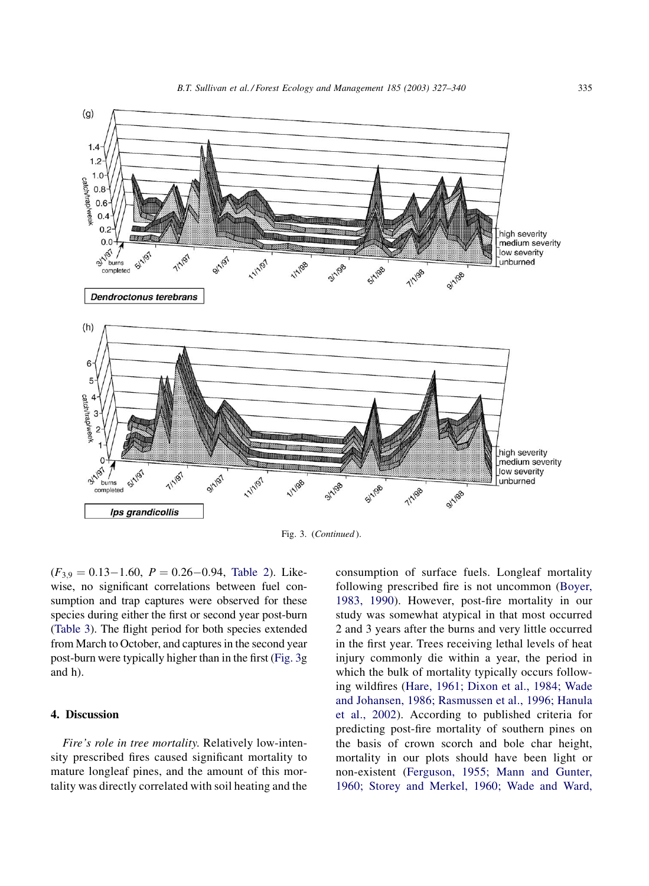

Fig. 3. (Continued ).

 $(F_{3,9} = 0.13 - 1.60, P = 0.26 - 0.94,$  [Table 2\)](#page-5-0). Likewise, no significant correlations between fuel consumption and trap captures were observed for these species during either the first or second year post-burn ([Table 3\)](#page-9-0). The flight period for both species extended from March to October, and captures in the second year post-burn were typically higher than in the first [\(Fig. 3g](#page-6-0) and h).

## 4. Discussion

Fire's role in tree mortality. Relatively low-intensity prescribed fires caused significant mortality to mature longleaf pines, and the amount of this mortality was directly correlated with soil heating and the

consumption of surface fuels. Longleaf mortality following prescribed fire is not uncommon ([Boyer,](#page-11-0) [1983, 1990\)](#page-11-0). However, post-fire mortality in our study was somewhat atypical in that most occurred 2 and 3 years after the burns and very little occurred in the first year. Trees receiving lethal levels of heat injury commonly die within a year, the period in which the bulk of mortality typically occurs following wildfires [\(Hare, 1961; Dixon et al., 1984; Wade](#page-12-0) [and Johansen, 1986; Rasmussen et al., 1996; Hanula](#page-12-0) [et al., 2002\)](#page-12-0). According to published criteria for predicting post-fire mortality of southern pines on the basis of crown scorch and bole char height, mortality in our plots should have been light or non-existent [\(Ferguson, 1955; Mann and Gunter,](#page-12-0) [1960; Storey and Merkel, 1960; Wade and Ward,](#page-12-0)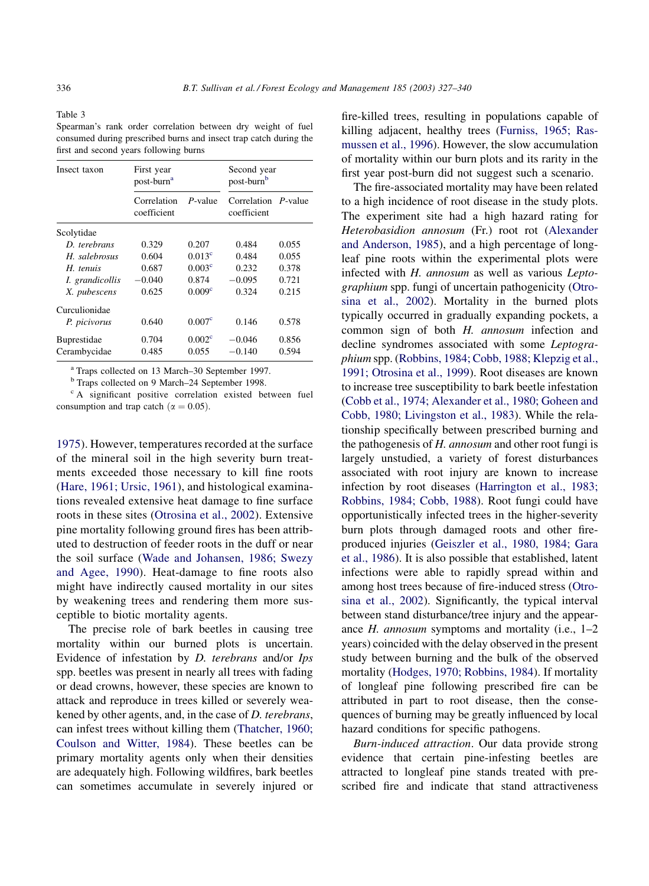<span id="page-9-0"></span>Table 3

Spearman's rank order correlation between dry weight of fuel consumed during prescribed burns and insect trap catch during the first and second years following burns

| Insect taxon       | First year<br>post-burn <sup>a</sup> |                    | Second year<br>post-burn <sup>b</sup> |       |  |
|--------------------|--------------------------------------|--------------------|---------------------------------------|-------|--|
|                    | Correlation<br>coefficient           | P-value            | Correlation P-value<br>coefficient    |       |  |
| Scolytidae         |                                      |                    |                                       |       |  |
| D. terebrans       | 0.329                                | 0.207              | 0.484                                 | 0.055 |  |
| H salebrosus       | 0.604                                | $0.013^{\circ}$    | 0.484                                 | 0.055 |  |
| H tenuis           | 0.687                                | 0.003 <sup>c</sup> | 0.232                                 | 0.378 |  |
| I. grandicollis    | $-0.040$                             | 0.874              | $-0.095$                              | 0.721 |  |
| X. pubescens       | 0.625                                | 0.009 <sup>c</sup> | 0.324                                 | 0.215 |  |
| Curculionidae      |                                      |                    |                                       |       |  |
| P. picivorus       | 0.640                                | 0.007 <sup>c</sup> | 0.146                                 | 0.578 |  |
| <b>Buprestidae</b> | 0.704                                | 0.002 <sup>c</sup> | $-0.046$                              | 0.856 |  |
| Cerambycidae       | 0.485                                | 0.055              | $-0.140$                              | 0.594 |  |

<sup>a</sup> Traps collected on 13 March–30 September 1997. <sup>b</sup> Traps collected on 9 March–24 September 1998.

<sup>c</sup> A significant positive correlation existed between fuel consumption and trap catch ( $\alpha = 0.05$ ).

[1975\)](#page-12-0). However, temperatures recorded at the surface of the mineral soil in the high severity burn treatments exceeded those necessary to kill fine roots ([Hare, 1961; Ursic, 1961\)](#page-12-0), and histological examinations revealed extensive heat damage to fine surface roots in these sites ([Otrosina et al., 2002\)](#page-13-0). Extensive pine mortality following ground fires has been attributed to destruction of feeder roots in the duff or near the soil surface [\(Wade and Johansen, 1986; Swezy](#page-13-0) [and Agee, 1990\)](#page-13-0). Heat-damage to fine roots also might have indirectly caused mortality in our sites by weakening trees and rendering them more susceptible to biotic mortality agents.

The precise role of bark beetles in causing tree mortality within our burned plots is uncertain. Evidence of infestation by D. terebrans and/or Ips spp. beetles was present in nearly all trees with fading or dead crowns, however, these species are known to attack and reproduce in trees killed or severely weakened by other agents, and, in the case of D. terebrans, can infest trees without killing them [\(Thatcher, 1960;](#page-13-0) [Coulson and Witter, 1984](#page-13-0)). These beetles can be primary mortality agents only when their densities are adequately high. Following wildfires, bark beetles can sometimes accumulate in severely injured or fire-killed trees, resulting in populations capable of killing adjacent, healthy trees [\(Furniss, 1965; Ras](#page-12-0)[mussen et al., 1996](#page-12-0)). However, the slow accumulation of mortality within our burn plots and its rarity in the first year post-burn did not suggest such a scenario.

The fire-associated mortality may have been related to a high incidence of root disease in the study plots. The experiment site had a high hazard rating for Heterobasidion annosum (Fr.) root rot [\(Alexander](#page-11-0) [and Anderson, 1985](#page-11-0)), and a high percentage of longleaf pine roots within the experimental plots were infected with H. annosum as well as various Leptographium spp. fungi of uncertain pathogenicity [\(Otro](#page-13-0)[sina et al., 2002](#page-13-0)). Mortality in the burned plots typically occurred in gradually expanding pockets, a common sign of both H. annosum infection and decline syndromes associated with some Leptographium spp. ([Robbins, 1984; Cobb, 1988; Klepzig et al.,](#page-13-0) [1991; Otrosina et al., 1999\)](#page-13-0). Root diseases are known to increase tree susceptibility to bark beetle infestation ([Cobb et al., 1974; Alexander et al., 1980; Goheen and](#page-12-0) [Cobb, 1980; Livingston et al., 1983](#page-12-0)). While the relationship specifically between prescribed burning and the pathogenesis of H. annosum and other root fungi is largely unstudied, a variety of forest disturbances associated with root injury are known to increase infection by root diseases [\(Harrington et al., 1983;](#page-12-0) [Robbins, 1984; Cobb, 1988\)](#page-12-0). Root fungi could have opportunistically infected trees in the higher-severity burn plots through damaged roots and other fireproduced injuries ([Geiszler et al., 1980, 1984; Gara](#page-12-0) [et al., 1986](#page-12-0)). It is also possible that established, latent infections were able to rapidly spread within and among host trees because of fire-induced stress [\(Otro](#page-13-0)[sina et al., 2002](#page-13-0)). Significantly, the typical interval between stand disturbance/tree injury and the appearance  $H$ . annosum symptoms and mortality (i.e.,  $1-2$ years) coincided with the delay observed in the present study between burning and the bulk of the observed mortality [\(Hodges, 1970; Robbins, 1984\)](#page-12-0). If mortality of longleaf pine following prescribed fire can be attributed in part to root disease, then the consequences of burning may be greatly influenced by local hazard conditions for specific pathogens.

Burn-induced attraction. Our data provide strong evidence that certain pine-infesting beetles are attracted to longleaf pine stands treated with prescribed fire and indicate that stand attractiveness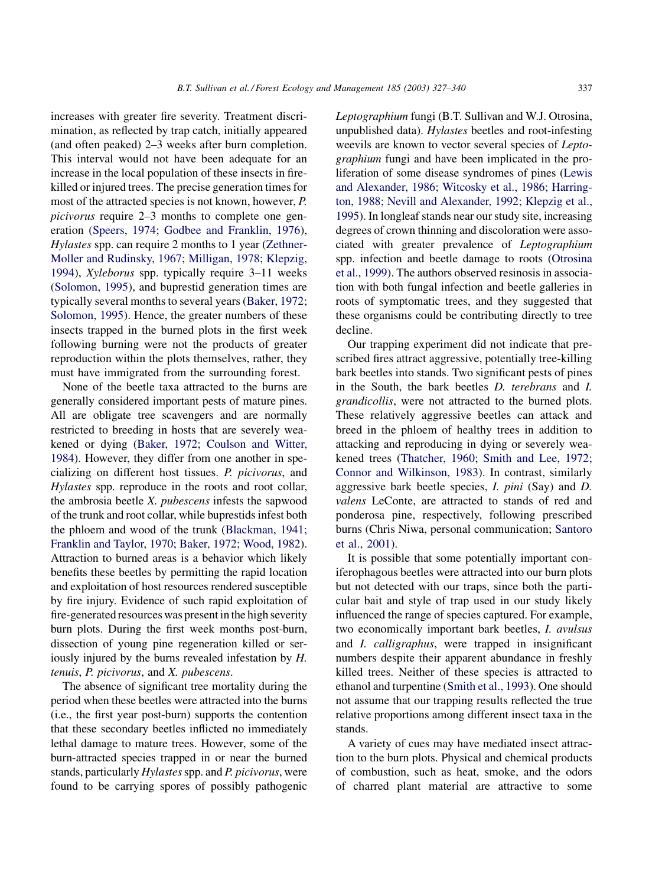increases with greater fire severity. Treatment discrimination, as reflected by trap catch, initially appeared (and often peaked) 2–3 weeks after burn completion. This interval would not have been adequate for an increase in the local population of these insects in firekilled or injured trees. The precise generation times for most of the attracted species is not known, however, P. picivorus require 2–3 months to complete one generation ([Speers, 1974; Godbee and Franklin, 1976\)](#page-13-0), Hylastes spp. can require 2 months to 1 year [\(Zethner-](#page-13-0)[Moller and Rudinsky, 1967; Milligan, 1978; Klepzig,](#page-13-0) [1994](#page-13-0)), Xyleborus spp. typically require 3–11 weeks ([Solomon, 1995\)](#page-13-0), and buprestid generation times are typically several months to several years ([Baker, 1972;](#page-11-0) [Solomon, 1995\)](#page-11-0). Hence, the greater numbers of these insects trapped in the burned plots in the first week following burning were not the products of greater reproduction within the plots themselves, rather, they must have immigrated from the surrounding forest.

None of the beetle taxa attracted to the burns are generally considered important pests of mature pines. All are obligate tree scavengers and are normally restricted to breeding in hosts that are severely weakened or dying [\(Baker, 1972; Coulson and Witter,](#page-11-0) [1984](#page-11-0)). However, they differ from one another in specializing on different host tissues. P. picivorus, and Hylastes spp. reproduce in the roots and root collar, the ambrosia beetle X. pubescens infests the sapwood of the trunk and root collar, while buprestids infest both the phloem and wood of the trunk [\(Blackman, 1941;](#page-11-0) [Franklin and Taylor, 1970; Baker, 1972; Wood, 1982\)](#page-11-0). Attraction to burned areas is a behavior which likely benefits these beetles by permitting the rapid location and exploitation of host resources rendered susceptible by fire injury. Evidence of such rapid exploitation of fire-generated resources was present in the high severity burn plots. During the first week months post-burn, dissection of young pine regeneration killed or seriously injured by the burns revealed infestation by H. tenuis, P. picivorus, and X. pubescens.

The absence of significant tree mortality during the period when these beetles were attracted into the burns (i.e., the first year post-burn) supports the contention that these secondary beetles inflicted no immediately lethal damage to mature trees. However, some of the burn-attracted species trapped in or near the burned stands, particularly Hylastes spp. and P. picivorus, were found to be carrying spores of possibly pathogenic

Leptographium fungi (B.T. Sullivan and W.J. Otrosina, unpublished data). Hylastes beetles and root-infesting weevils are known to vector several species of Leptographium fungi and have been implicated in the proliferation of some disease syndromes of pines ([Lewis](#page-13-0) [and Alexander, 1986; Witcosky et al., 1986; Harring](#page-13-0)[ton, 1988; Nevill and Alexander, 1992; Klepzig et al.,](#page-13-0) [1995](#page-13-0)). In longleaf stands near our study site, increasing degrees of crown thinning and discoloration were associated with greater prevalence of Leptographium spp. infection and beetle damage to roots ([Otrosina](#page-13-0) [et al., 1999\)](#page-13-0). The authors observed resinosis in association with both fungal infection and beetle galleries in roots of symptomatic trees, and they suggested that these organisms could be contributing directly to tree decline.

Our trapping experiment did not indicate that prescribed fires attract aggressive, potentially tree-killing bark beetles into stands. Two significant pests of pines in the South, the bark beetles D. terebrans and I. grandicollis, were not attracted to the burned plots. These relatively aggressive beetles can attack and breed in the phloem of healthy trees in addition to attacking and reproducing in dying or severely weakened trees [\(Thatcher, 1960; Smith and Lee, 1972;](#page-13-0) [Connor and Wilkinson, 1983](#page-13-0)). In contrast, similarly aggressive bark beetle species, I. pini (Say) and D. valens LeConte, are attracted to stands of red and ponderosa pine, respectively, following prescribed burns (Chris Niwa, personal communication; [Santoro](#page-13-0) [et al., 2001\)](#page-13-0).

It is possible that some potentially important coniferophagous beetles were attracted into our burn plots but not detected with our traps, since both the particular bait and style of trap used in our study likely influenced the range of species captured. For example, two economically important bark beetles, I. avulsus and I. calligraphus, were trapped in insignificant numbers despite their apparent abundance in freshly killed trees. Neither of these species is attracted to ethanol and turpentine [\(Smith et al., 1993](#page-13-0)). One should not assume that our trapping results reflected the true relative proportions among different insect taxa in the stands.

A variety of cues may have mediated insect attraction to the burn plots. Physical and chemical products of combustion, such as heat, smoke, and the odors of charred plant material are attractive to some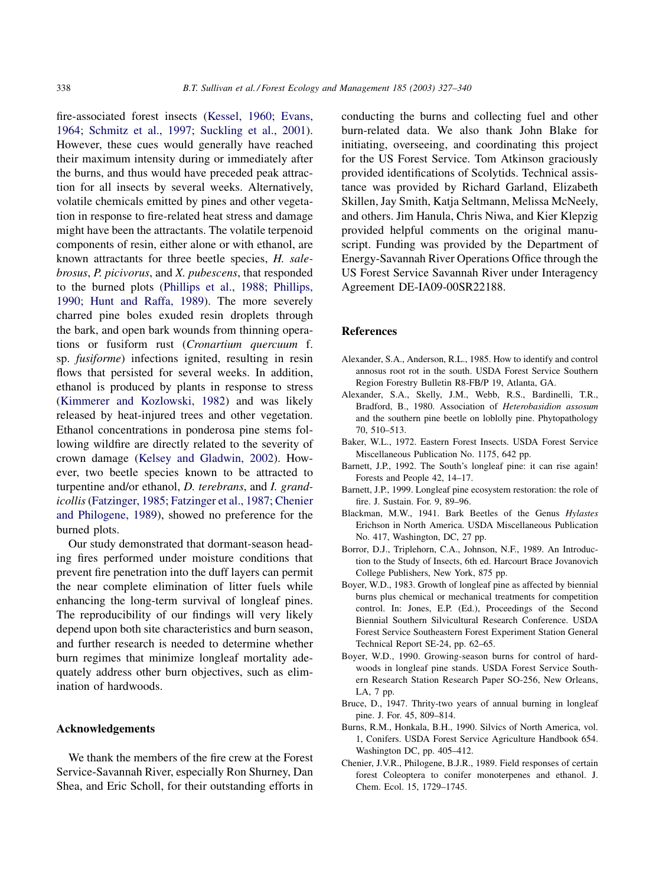<span id="page-11-0"></span>fire-associated forest insects ([Kessel, 1960; Evans,](#page-12-0) [1964; Schmitz et al., 1997; Suckling et al., 2001\)](#page-12-0). However, these cues would generally have reached their maximum intensity during or immediately after the burns, and thus would have preceded peak attraction for all insects by several weeks. Alternatively, volatile chemicals emitted by pines and other vegetation in response to fire-related heat stress and damage might have been the attractants. The volatile terpenoid components of resin, either alone or with ethanol, are known attractants for three beetle species, H. salebrosus, P. picivorus, and X. pubescens, that responded to the burned plots [\(Phillips et al., 1988; Phillips,](#page-13-0) [1990; Hunt and Raffa, 1989](#page-13-0)). The more severely charred pine boles exuded resin droplets through the bark, and open bark wounds from thinning operations or fusiform rust (Cronartium quercuum f. sp. fusiforme) infections ignited, resulting in resin flows that persisted for several weeks. In addition, ethanol is produced by plants in response to stress ([Kimmerer and Kozlowski, 1982](#page-12-0)) and was likely released by heat-injured trees and other vegetation. Ethanol concentrations in ponderosa pine stems following wildfire are directly related to the severity of crown damage [\(Kelsey and Gladwin, 2002\)](#page-12-0). However, two beetle species known to be attracted to turpentine and/or ethanol, D. terebrans, and I. grandicollis[\(Fatzinger, 1985; Fatzinger et al., 1987; Chenier](#page-12-0) [and Philogene, 1989\)](#page-12-0), showed no preference for the burned plots.

Our study demonstrated that dormant-season heading fires performed under moisture conditions that prevent fire penetration into the duff layers can permit the near complete elimination of litter fuels while enhancing the long-term survival of longleaf pines. The reproducibility of our findings will very likely depend upon both site characteristics and burn season, and further research is needed to determine whether burn regimes that minimize longleaf mortality adequately address other burn objectives, such as elimination of hardwoods.

## Acknowledgements

We thank the members of the fire crew at the Forest Service-Savannah River, especially Ron Shurney, Dan Shea, and Eric Scholl, for their outstanding efforts in conducting the burns and collecting fuel and other burn-related data. We also thank John Blake for initiating, overseeing, and coordinating this project for the US Forest Service. Tom Atkinson graciously provided identifications of Scolytids. Technical assistance was provided by Richard Garland, Elizabeth Skillen, Jay Smith, Katja Seltmann, Melissa McNeely, and others. Jim Hanula, Chris Niwa, and Kier Klepzig provided helpful comments on the original manuscript. Funding was provided by the Department of Energy-Savannah River Operations Office through the US Forest Service Savannah River under Interagency Agreement DE-IA09-00SR22188.

## References

- Alexander, S.A., Anderson, R.L., 1985. How to identify and control annosus root rot in the south. USDA Forest Service Southern Region Forestry Bulletin R8-FB/P 19, Atlanta, GA.
- Alexander, S.A., Skelly, J.M., Webb, R.S., Bardinelli, T.R., Bradford, B., 1980. Association of Heterobasidion assosum and the southern pine beetle on loblolly pine. Phytopathology 70, 510–513.
- Baker, W.L., 1972. Eastern Forest Insects. USDA Forest Service Miscellaneous Publication No. 1175, 642 pp.
- Barnett, J.P., 1992. The South's longleaf pine: it can rise again! Forests and People 42, 14–17.
- Barnett, J.P., 1999. Longleaf pine ecosystem restoration: the role of fire. J. Sustain. For. 9, 89–96.
- Blackman, M.W., 1941. Bark Beetles of the Genus Hylastes Erichson in North America. USDA Miscellaneous Publication No. 417, Washington, DC, 27 pp.
- Borror, D.J., Triplehorn, C.A., Johnson, N.F., 1989. An Introduction to the Study of Insects, 6th ed. Harcourt Brace Jovanovich College Publishers, New York, 875 pp.
- Boyer, W.D., 1983. Growth of longleaf pine as affected by biennial burns plus chemical or mechanical treatments for competition control. In: Jones, E.P. (Ed.), Proceedings of the Second Biennial Southern Silvicultural Research Conference. USDA Forest Service Southeastern Forest Experiment Station General Technical Report SE-24, pp. 62–65.
- Boyer, W.D., 1990. Growing-season burns for control of hardwoods in longleaf pine stands. USDA Forest Service Southern Research Station Research Paper SO-256, New Orleans, LA, 7 pp.
- Bruce, D., 1947. Thrity-two years of annual burning in longleaf pine. J. For. 45, 809–814.
- Burns, R.M., Honkala, B.H., 1990. Silvics of North America, vol. 1, Conifers. USDA Forest Service Agriculture Handbook 654. Washington DC, pp. 405–412.
- Chenier, J.V.R., Philogene, B.J.R., 1989. Field responses of certain forest Coleoptera to conifer monoterpenes and ethanol. J. Chem. Ecol. 15, 1729–1745.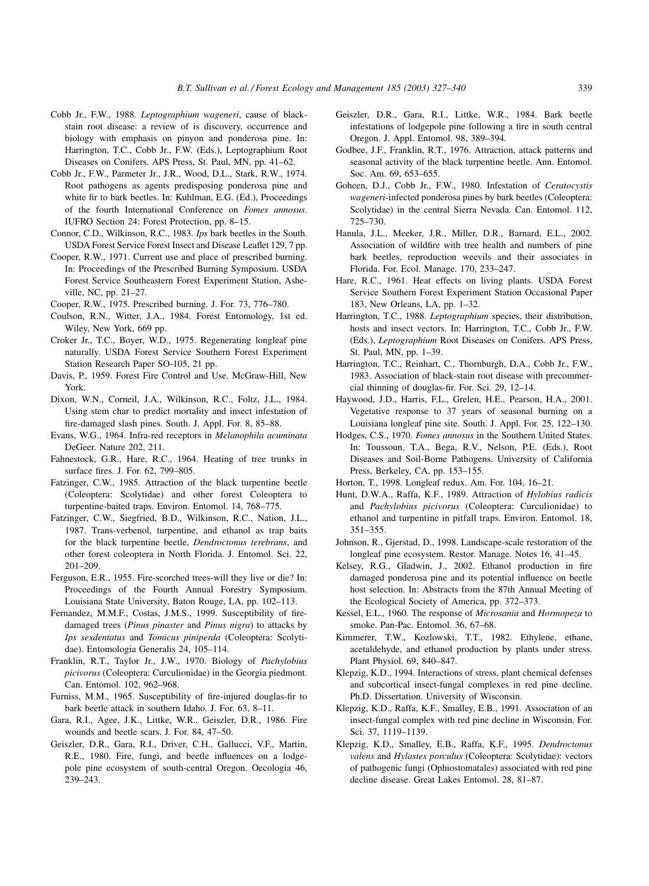- <span id="page-12-0"></span>Cobb Jr., F.W., 1988. Leptographium wageneri, cause of blackstain root disease: a review of is discovery, occurrence and biology with emphasis on pinyon and ponderosa pine. In: Harrington, T.C., Cobb Jr., F.W. (Eds.), Leptographium Root Diseases on Conifers. APS Press, St. Paul, MN, pp. 41–62.
- Cobb Jr., F.W., Parmeter Jr., J.R., Wood, D.L., Stark, R.W., 1974. Root pathogens as agents predisposing ponderosa pine and white fir to bark beetles. In: Kuhlman, E.G. (Ed.), Proceedings of the fourth International Conference on Fomes annosus. IUFRO Section 24: Forest Protection, pp. 8–15.
- Connor, C.D., Wilkinson, R.C., 1983. Ips bark beetles in the South. USDA Forest Service Forest Insect and Disease Leaflet 129, 7 pp.
- Cooper, R.W., 1971. Current use and place of prescribed burning. In: Proceedings of the Prescribed Burning Symposium. USDA Forest Service Southeastern Forest Experiment Station, Asheville, NC, pp. 21–27.
- Cooper, R.W., 1975. Prescribed burning. J. For. 73, 776–780.
- Coulson, R.N., Witter, J.A., 1984. Forest Entomology, 1st ed. Wiley, New York, 669 pp.
- Croker Jr., T.C., Boyer, W.D., 1975. Regenerating longleaf pine naturally. USDA Forest Service Southern Forest Experiment Station Research Paper SO-105, 21 pp.
- Davis, P., 1959. Forest Fire Control and Use. McGraw-Hill, New York.
- Dixon, W.N., Corneil, J.A., Wilkinson, R.C., Foltz, J.L., 1984. Using stem char to predict mortality and insect infestation of fire-damaged slash pines. South. J. Appl. For. 8, 85–88.
- Evans, W.G., 1964. Infra-red receptors in Melanophila acuminata DeGeer. Nature 202, 211.
- Fahnestock, G.R., Hare, R.C., 1964. Heating of tree trunks in surface fires. J. For. 62, 799–805.
- Fatzinger, C.W., 1985. Attraction of the black turpentine beetle (Coleoptera: Scolytidae) and other forest Coleoptera to turpentine-baited traps. Environ. Entomol. 14, 768–775.
- Fatzinger, C.W., Siegfried, B.D., Wilkinson, R.C., Nation, J.L., 1987. Trans-verbenol, turpentine, and ethanol as trap baits for the black turpentine beetle, Dendroctonus terebrans, and other forest coleoptera in North Florida. J. Entomol. Sci. 22, 201–209.
- Ferguson, E.R., 1955. Fire-scorched trees-will they live or die? In: Proceedings of the Fourth Annual Forestry Symposium. Louisiana State University, Baton Rouge, LA, pp. 102–113.
- Fernandez, M.M.F., Costas, J.M.S., 1999. Susceptibility of firedamaged trees (Pinus pinaster and Pinus nigra) to attacks by Ips sexdentatus and Tomicus piniperda (Coleoptera: Scolytidae). Entomologia Generalis 24, 105–114.
- Franklin, R.T., Taylor Jr., J.W., 1970. Biology of Pachylobius picivorus (Coleoptera: Curculionidae) in the Georgia piedmont. Can. Entomol. 102, 962–968.
- Furniss, M.M., 1965. Susceptibility of fire-injured douglas-fir to bark beetle attack in southern Idaho. J. For. 63, 8–11.
- Gara, R.I., Agee, J.K., Littke, W.R., Geiszler, D.R., 1986. Fire wounds and beetle scars. J. For. 84, 47–50.
- Geiszler, D.R., Gara, R.I., Driver, C.H., Gallucci, V.F., Martin, R.E., 1980. Fire, fungi, and beetle influences on a lodgepole pine ecosystem of south-central Oregon. Oecologia 46, 239–243.
- Geiszler, D.R., Gara, R.I., Littke, W.R., 1984. Bark beetle infestations of lodgepole pine following a fire in south central Oregon. J. Appl. Entomol. 98, 389–394.
- Godbee, J.F., Franklin, R.T., 1976. Attraction, attack patterns and seasonal activity of the black turpentine beetle. Ann. Entomol. Soc. Am. 69, 653–655.
- Goheen, D.J., Cobb Jr., F.W., 1980. Infestation of Ceratocystis wageneri-infected ponderosa pines by bark beetles (Coleoptera: Scolytidae) in the central Sierra Nevada. Can. Entomol. 112, 725–730.
- Hanula, J.L., Meeker, J.R., Miller, D.R., Barnard, E.L., 2002. Association of wildfire with tree health and numbers of pine bark beetles, reproduction weevils and their associates in Florida. For. Ecol. Manage. 170, 233–247.
- Hare, R.C., 1961. Heat effects on living plants. USDA Forest Service Southern Forest Experiment Station Occasional Paper 183, New Orleans, LA, pp. 1–32.
- Harrington, T.C., 1988. Leptographium species, their distribution, hosts and insect vectors. In: Harrington, T.C., Cobb Jr., F.W. (Eds.), Leptographium Root Diseases on Conifers. APS Press, St. Paul, MN, pp. 1–39.
- Harrington, T.C., Reinhart, C., Thornburgh, D.A., Cobb Jr., F.W., 1983. Association of black-stain root disease with precommercial thinning of douglas-fir. For. Sci. 29, 12–14.
- Haywood, J.D., Harris, F.L., Grelen, H.E., Pearson, H.A., 2001. Vegetative response to 37 years of seasonal burning on a Louisiana longleaf pine site. South. J. Appl. For. 25, 122–130.
- Hodges, C.S., 1970. Fomes annosus in the Southern United States. In: Toussoun, T.A., Bega, R.V., Nelson, P.E. (Eds.), Root Diseases and Soil-Borne Pathogens. University of California Press, Berkeley, CA, pp. 153–155.
- Horton, T., 1998. Longleaf redux. Am. For. 104, 16–21.
- Hunt, D.W.A., Raffa, K.F., 1989. Attraction of Hylobius radicis and Pachylobius picivorus (Coleoptera: Curculionidae) to ethanol and turpentine in pitfall traps. Environ. Entomol. 18, 351–355.
- Johnson, R., Gjerstad, D., 1998. Landscape-scale restoration of the longleaf pine ecosystem. Restor. Manage. Notes 16, 41–45.
- Kelsey, R.G., Gladwin, J., 2002. Ethanol production in fire damaged ponderosa pine and its potential influence on beetle host selection. In: Abstracts from the 87th Annual Meeting of the Ecological Society of America, pp. 372–373.
- Kessel, E.L., 1960. The response of Microsania and Hormopeza to smoke. Pan-Pac. Entomol. 36, 67–68.
- Kimmerer, T.W., Kozlowski, T.T., 1982. Ethylene, ethane, acetaldehyde, and ethanol production by plants under stress. Plant Physiol. 69, 840–847.
- Klepzig, K.D., 1994. Interactions of stress, plant chemical defenses and subcortical insect-fungal complexes in red pine decline. Ph.D. Dissertation. University of Wisconsin.
- Klepzig, K.D., Raffa, K.F., Smalley, E.B., 1991. Association of an insect-fungal complex with red pine decline in Wisconsin. For. Sci. 37, 1119–1139.
- Klepzig, K.D., Smalley, E.B., Raffa, K.F., 1995. Dendroctonus valens and Hylastes porculus (Coleoptera: Scolytidae): vectors of pathogenic fungi (Ophiostomatales) associated with red pine decline disease. Great Lakes Entomol. 28, 81–87.